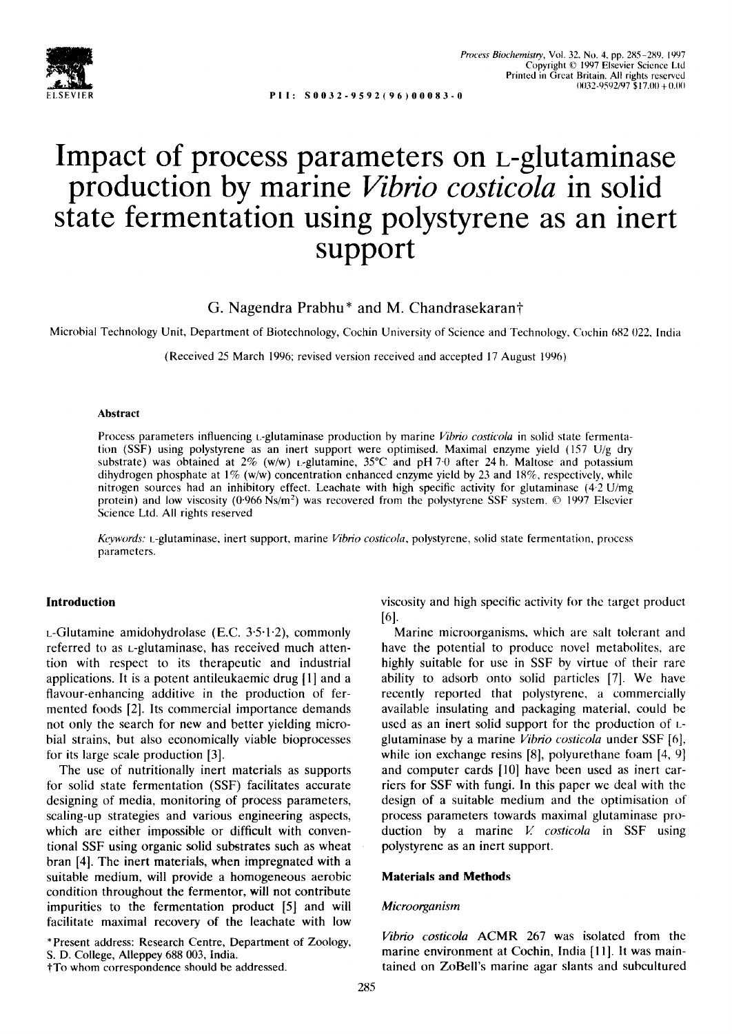

**S0032-9592 (96)00083-0** 

# **Impact of process parameters on L-glutaminase production by marine** *Vibrio costicola* **in solid state fermentation using polystyrene as an inert support**

**G.** Nagendra Prabhu\* and **M.** Chandrasekarant

Microbial Technology Unit, Department of Biotechnology, Cochin University of Science and Technology, Cochin 682 022, India

(Received 25 March 1996; revised version received and accepted 17 August 1996)

#### **Abstract**

Process parameters influencing *t*-glutaminase production by marine *Vibrio costicola* in solid state fermentation (SSF) using polystyrene as an inert support were optimised. Maximal enzyme yield (157 U/g dry substrate) was obtained at  $2\%$  (w/w) t-glutamine,  $35^{\circ}$ C and pH 7.0 after 24 h. Maltose and potassium dihydrogen phosphate at 1% (w/w) concentration enhanced enzyme yield by 23 and 18%, respectively, while nitrogen sources had an inhibitory effect. Leachate with high specific activity for glutaminase (4.2 U/mg protein) and low viscosity ( $0.966$  Ns/m<sup>2</sup>) was recovered from the polystyrene SSF system.  $\odot$  1997 Elsevier Science Ltd. All rights reserved

*Kevwords:* L-glutaminase, inert support, marine *Vibrio costicola,* polystyrene, solid state fermentation, process parameters.

# **Introduction**

 $L$ -Glutamine amidohydrolase (E.C. 3.5.1.2), commonly referred to as L-glutaminase, has received much attention with respect to its therapeutic and industrial applications. It is a potent antileukaemic drug [1] and a flavour-enhancing additive in the production of fermented foods [2]. Its commercial importance demands not only the search for new and better yielding microbial strains, but also economically viable bioprocesses for its large scale production [3].

The use of nutritionally inert materials as supports for solid state fermentation (SSF) facilitates accurate designing of media, monitoring of process parameters, scaling-up strategies and various engineering aspects, which are either impossible or difficult with conventional SSF using organic solid substrates such as wheat bran [4]. The inert materials, when impregnated with a suitable medium, will provide a homogeneous aerobic condition throughout the fermentor, will not contribute impurities to the fermentation product [5] and will facilitate maximal recovery of the leachate with low

\*Present address: Research Centre, Department of Zoology, S. D. College, Alleppey 688 003, India.

lTo whom correspondence should be addressed.

viscosity and high specific activity for the target product [6].

Marine microorganisms, which are salt tolerant and have the potential to produce novel metabolites, are highly suitable for use in SSF by virtue of their rare ability to adsorb onto solid particles [7]. We have recently reported that polystyrene, a commercially available insulating and packaging material, could be used as an inert solid support for the production of Lglutaminase by a marine *Vibrio costicola* under SSF [6], while ion exchange resins [8], polyurethane foam [4, 9] and computer cards [10] have been used as inert carriers for SSF with fungi. In this paper we deal with the design of a suitable medium and the optimisation of process parameters towards maximal glutaminase production by a marine *V. costicola* in SSF using polystyrene as an inert support.

## **Materials and Methods**

#### *Microorganism*

*Vibrio costicola* ACMR 267 was isolated from the marine environment at Cochin, India [11]. It was maintained on ZoBell's marine agar slants and subcultured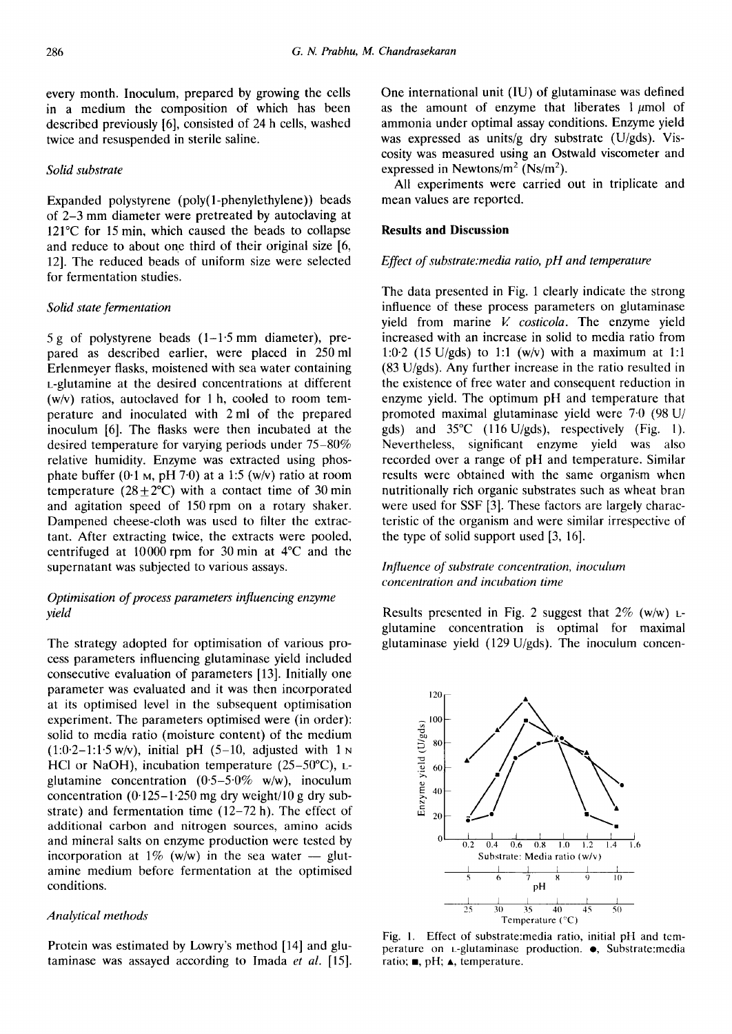every month. Inoculum, prepared by growing the cells in a medium the composition of which has been described previously [6], consisted of 24 h cells, washed twice and resuspended in sterile saline.

# *Solid substrate*

Expanded polystyrene (poly(1-phenylethylene)) beads of 2-3 mm diameter were pretreated by autoclaving at 121°C for 15 min, which caused the beads to collapse and reduce to about one third of their original size [6, 12]. The reduced beads of uniform size were selected for fermentation studies.

# *Solid state fermentation*

 $5 g$  of polystyrene beads  $(1-1.5 \text{ mm}$  diameter), prepared as described earlier, were placed in 250mi Erlenmeyer flasks, moistened with sea water containing L-glutamine at the desired concentrations at different (w/v) ratios, autoclaved for 1 h, cooled to room temperature and inoculated with 2 ml of the prepared inoculum [6]. The flasks were then incubated at the desired temperature for varying periods under 75-80% relative humidity. Enzyme was extracted using phosphate buffer  $(0.1 \text{ M}, \text{pH } 7.0)$  at a 1:5 (w/v) ratio at room temperature  $(28 \pm 2^{\circ}\text{C})$  with a contact time of 30 min and agitation speed of 150rpm on a rotary shaker. Dampened cheese-cloth was used to filter the extractant. After extracting twice, the extracts were pooled, centrifuged at 10000 rpm for 30 min at 4°C and the supernatant was subjected to various assays.

# *Optimisation of process parameters influencing enzyme*   $yield$

The strategy adopted for optimisation of various process parameters influencing glutaminase yield included consecutive evaluation of parameters [13]. Initially one parameter was evaluated and it was then incorporated at its optimised level in the subsequent optimisation experiment. The parameters optimised were (in order): solid to media ratio (moisture content) of the medium  $(1:0.2-1:1.5 w/v)$ , initial pH  $(5-10,$  adjusted with  $1 w$ HCl or NaOH), incubation temperature  $(25-50^{\circ}C)$ , Lglutamine concentration  $(0.5-5.0\% \text{ w/w})$ , inoculum concentration  $(0.125-1.250 \text{ mg dry weight}/10 \text{ g dry sub}$ strate) and fermentation time  $(12-72 h)$ . The effect of additional carbon and nitrogen sources, amino acids and mineral salts on enzyme production were tested by incorporation at  $1\%$  (w/w) in the sea water -- glutamine medium before fermentation at the optimised conditions.

#### *Analytical methods*

Protein was estimated by Lowry's method [14] and glutaminase was assayed according to Imada *et al.* [15]. One international unit (IU) of glutaminase was defined as the amount of enzyme that liberates  $1~\mu$ mol of ammonia under optimal assay conditions. Enzyme yield was expressed as units/g dry substrate (U/gds). Viscosity was measured using an Ostwald viscometer and expressed in Newtons/ $m^2$  (Ns/ $m^2$ ).

All experiments were carried out in triplicate and mean values are reported.

#### **Results and Discussion**

# *Effect of substrate:media ratio, pH and temperature*

The data presented in Fig. 1 clearly indicate the strong influence of these process parameters on glutaminase yield from marine V. *costicola.* The enzyme yield increased with an increase in solid to media ratio from 1:0.2 (15 U/gds) to 1:1 (w/v) with a maximum at 1:1 (83 U/gds). Any further increase in the ratio resulted in the existence of free water and consequent reduction in enzyme yield. The optimum pH and temperature that promoted maximal glutaminase yield were 7.0 (98 U/ gds) and  $35^{\circ}$ C (116 U/gds), respectively (Fig. 1). Nevertheless, significant enzyme yield was also recorded over a range of pH and temperature. Similar results were obtained with the same organism when nutritionally rich organic substrates such as wheat bran were used for SSF [3]. These factors are largely characteristic of the organism and were similar irrespective of the type of solid support used [3, 16].

# *Influence of substrate concentration, inoculum concentration and incubation time*

Results presented in Fig. 2 suggest that  $2\%$  (w/w)  $\mu$ glutamine concentration is optimal for maximal glutaminase yield (129 U/gds). The inoculum concen-



Fig. 1. Effect of substrate:media ratio, initial pH and temperature on *L*-glutaminase production.  $\bullet$ , Substrate:media ratio;  $\blacksquare$ , pH;  $\blacktriangle$ , temperature.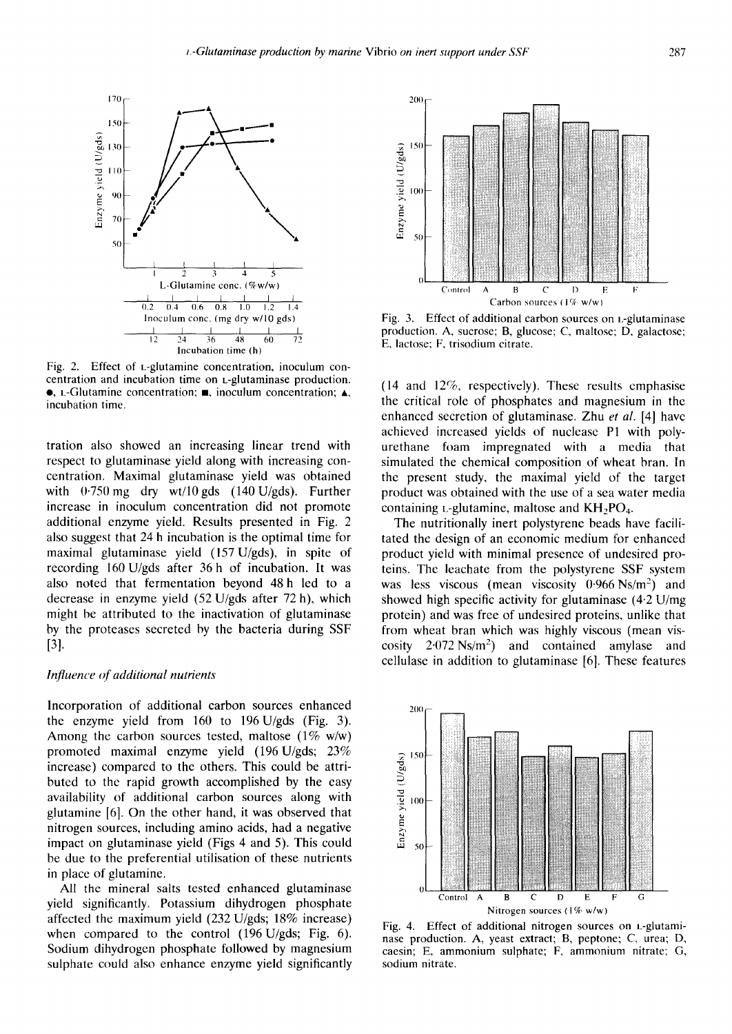

Fig. 2. Effect of L-glutamine concentration, inoculum concentration and incubation time on L-glutaminase production. •, L-Glutamine concentration;  $\blacksquare$ , inoculum concentration;  $\blacktriangle$ , incubation time.

tration also showed an increasing linear trend with respect to glutaminase yield along with increasing concentration. Maximal glutaminase yield was obtained with  $0.750$  mg dry wt/10 gds (140 U/gds). Further increase in inoculum concentration did not promote additional enzyme yield. Results presented in Fig. 2 also suggest that 24 h incubation is the optimal time for maximal glutaminase yield (157U/gds), in spite of recording 160 U/gds after 36 h of incubation. It was also noted that fermentation beyond 48 h led to a decrease in enzyme yield (52 U/gds after 72 h), which might be attributed to the inactivation of glutaminase by the proteases secreted by the bacteria during SSF [3].

## *Influence of additional nutrients*

Incorporation of additional carbon sources enhanced the enzyme yield from  $160$  to  $196 \text{ U/gds}$  (Fig. 3). Among the carbon sources tested, maltose  $(1\% \text{ w/w})$ promoted maximal enzyme yield (196U/gds; 23% increase) compared to the others. This could be attributed to the rapid growth accomplished by the easy availability of additional carbon sources along with glutamine [6]. On the other hand, it was observed that nitrogen sources, including amino acids, had a negative impact on glutaminase yield (Figs 4 and 5). This could be due to the preferential utilisation of these nutrients in place of glutamine.

All the mineral salts tested enhanced glutaminase yield significantly. Potassium dihydrogen phosphate affected the maximum yield (232 U/gds; 18% increase) when compared to the control (196 U/gds; Fig. 6). Sodium dihydrogen phosphate followed by magnesium sulphate could also enhance enzyme yield significantly



Fig. 3. Effect of additional carbon sources on t-glutaminase production. A, sucrose; B, glucose; C, maltose; D, galactose; E, lactose; F, trisodium citrate.

(14 and 12%, respectively). These results cmphasise the critical role of phosphates and magnesium in the enhanced secretion of glutaminase. Zhu *et al.* [4] have achieved increased yields of nuclease P1 with polyurethane foam impregnated with a media that simulated the chemical composition of wheat bran. In the present study, the maximal yield of the target product was obtained with the use of a sea water media containing  $L$ -glutamine, maltose and  $KH<sub>2</sub>PO<sub>4</sub>$ .

The nutritionally inert polystyrene beads have facilitated the design of an economic medium for enhanced product yield with minimal presence of undesired proteins. The leachate from the polystyrene SSF system was less viscous (mean viscosity  $0.966 \text{ Ns/m}^2$ ) and showed high specific activity for glutaminase (4-2 U/mg protein) and was free of undesired proteins, unlike that from wheat bran which was highly viscous (mean viscosity  $2.072 \text{ Ns/m}^2$  and contained amylase and cellulase in addition to glutaminase [6]. These features



Fig. 4. Effect of additional nitrogen sources on L-glutaminase production. A, yeast extract; B, peptone; C, urea; D, caesin; E, ammonium sulphate; F, ammonium nitrate; G, sodium nitrate.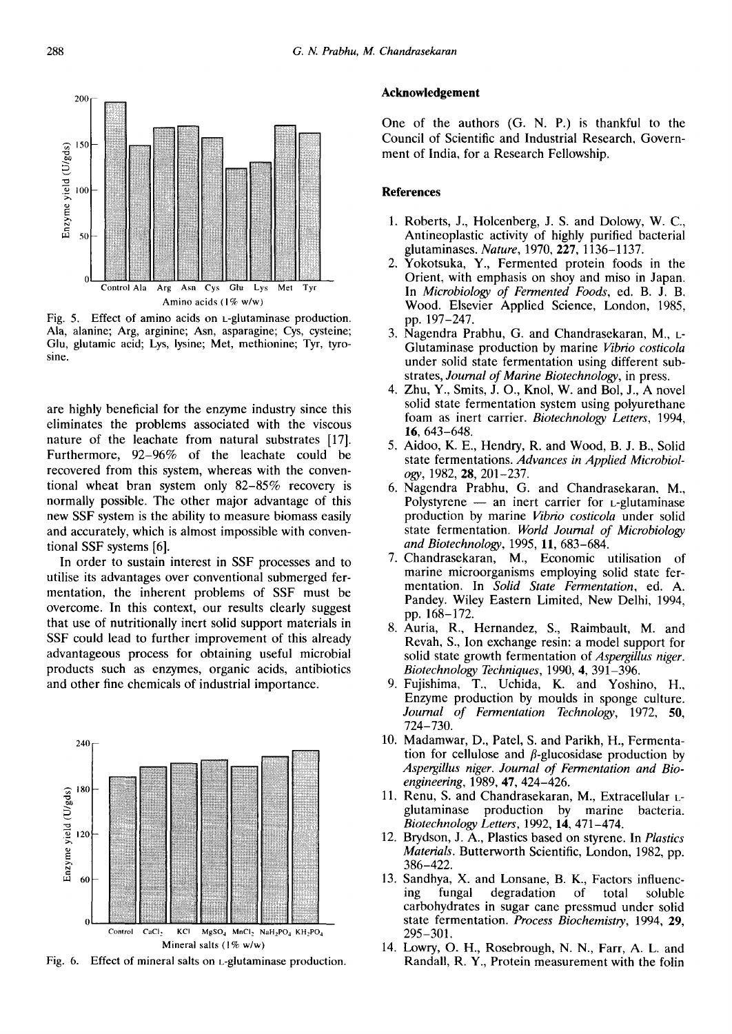

Fig. 5. Effect of amino acids on L-glutaminase production. Ala, alanine; Arg, arginine; Asn, asparagine; Cys, cysteine; Glu, glutamic acid; Lys, lysine; Met, methionine; Tyr, tyrosine.

are highly beneficial for the enzyme industry since this eliminates the problems associated with the viscous nature of the leachate from natural substrates [17]. Furthermore, 92–96% of the leachate could be recovered from this system, whereas with the conventional wheat bran system only 82-85% recovery is normally possible. The other major advantage of this new SSF system is the ability to measure biomass easily and accurately, which is almost impossible with conventional SSF systems [6].

In order to sustain interest in SSF processes and to utilise its advantages over conventional submerged fermentation, the inherent problems of SSF must be overcome. In this context, our results clearly suggest that use of nutritionally inert solid support materials in SSF could lead to further improvement of this already advantageous process for obtaining useful microbial products such as enzymes, organic acids, antibiotics and other fine chemicals of industrial importance.



Fig. 6. Effect of mineral salts on *L*-glutaminase production.

#### Acknowledgement

One of the authors (G. N. P.) is thankful to the Council of Scientific and Industrial Research, Government of India, for a Research Fellowship.

#### **References**

- 1. Roberts, J., Holcenberg, J. S. and Dolowy, W. C., Antineoplastic activity of highly purified bacterial glutaminases. Nature, 1970, 227, 1136-1137.
- $2.$ Yokotsuka, Y., Fermented protein foods in the Orient, with emphasis on shoy and miso in Japan. In Microbiology of Fermented Foods, ed. B. J. B. Wood. Elsevier Applied Science, London, 1985, pp. 197-247.
- 3. Nagendra Prabhu, G. and Chandrasekaran, M., L-Glutaminase production by marine Vibrio costicola under solid state fermentation using different substrates, Journal of Marine Biotechnology, in press.
- 4. Zhu, Y., Smits, J. O., Knol, W. and Bol, J., A novel solid state fermentation system using polyurethane foam as inert carrier. Biotechnology Letters, 1994, 16, 643-648.
- 5. Aidoo, K. E., Hendry, R. and Wood, B. J. B., Solid state fermentations. Advances in Applied Microbiology, 1982, 28, 201-237.
- 6. Nagendra Prabhu, G. and Chandrasekaran, M., Polystyrene - an inert carrier for *L*-glutaminase production by marine Vibrio costicola under solid state fermentation. World Journal of Microbiology and Biotechnology, 1995, 11, 683-684.
- 7. Chandrasekaran, M., Economic utilisation of marine microorganisms employing solid state fermentation. In Solid State Fermentation, ed. A. Pandey. Wiley Eastern Limited, New Delhi, 1994, pp. 168-172.
- 8. Auria, R., Hernandez, S., Raimbault, M. and Revah, S., Ion exchange resin: a model support for solid state growth fermentation of *Aspergillus niger*. Biotechnology Techniques, 1990, 4, 391-396.
- 9. Fujishima, T., Uchida, K. and Yoshino, H., Enzyme production by moulds in sponge culture. Journal of Fermentation Technology, 1972, 50,  $724 - 730.$
- 10. Madamwar, D., Patel, S. and Parikh, H., Fermentation for cellulose and  $\beta$ -glucosidase production by Aspergillus niger. Journal of Fermentation and Bioengineering, 1989, 47, 424-426.
- 11. Renu, S. and Chandrasekaran, M., Extracellular Lglutaminase production by marine bacteria. Biotechnology Letters, 1992, 14, 471-474.
- 12. Brydson, J. A., Plastics based on styrene. In *Plastics* Materials. Butterworth Scientific, London, 1982, pp. 386-422.
- 13. Sandhya, X. and Lonsane, B. K., Factors influencfungal degradation ing of total soluble carbohydrates in sugar cane pressmud under solid state fermentation. Process Biochemistry, 1994, 29,  $295 - 301.$
- 14. Lowry, O. H., Rosebrough, N. N., Farr, A. L. and Randall, R. Y., Protein measurement with the folin